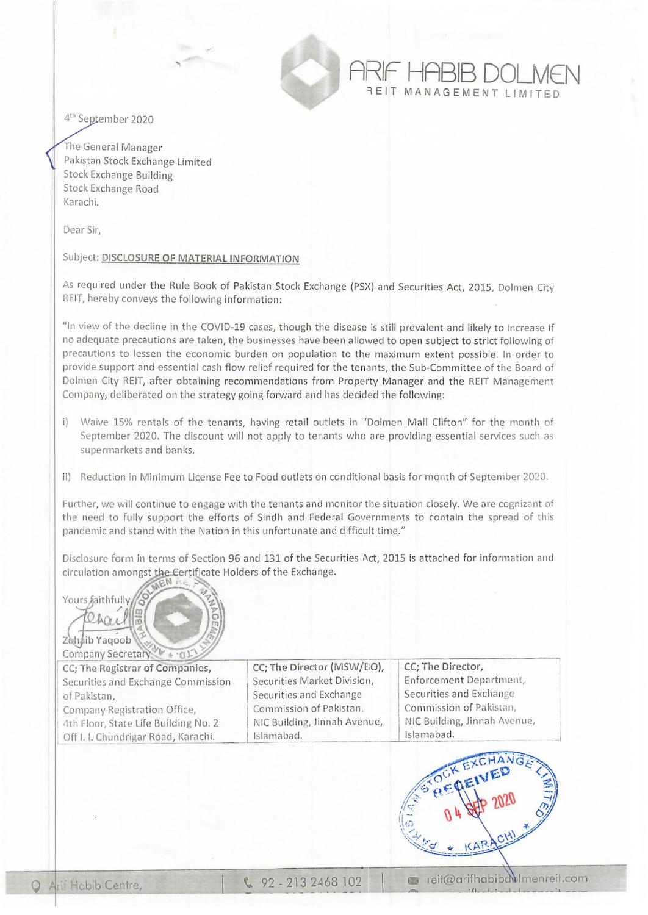

4<sup>th</sup> September 2020

The General Manager Pakistan Stock Exchange Limited Stock Exchange Building Stock Exchange Road Karachi,

Dear Sir,

## Subject: DISCLOSURE OF MATERIAL INFORMATION

As required under the Rule Book of Pakistan Stock Exchange (PSX) and Securities Act, 2015, Dolmen City REIT, hereby conveys the following information:

"In view of the decline in the COVID-19 cases, though the disease is still prevalent and likely to increase if no adequate precautions are taken, the businesses have been allowed to open subject to strict following of precautions to lessen the economic burden on population to the maximum extent possible, In order to provide support and essential cash flow relief required for the tenants, the Sub-Committee of the Board of Dolmen City REIT, after obtaining recommendations from Property Manager and the REIT Management Company, deliberated on the strategy going forward and has decided the following:

- i) Waive 15% rentals of the tenants, having retail outlets in "Dolmen Mall Clifton" for the month of September 2020. The discount will not apply to tenants who are providing essential services such as supermarkets and banks.
- ii) Reduction in Minimum License Fee to Food outlets on conditional basis for month of September 2020.

Further, we will continue to engage with the tenants and monitor the situation closely. We are cognizant of the need to fully support the efforts of Sindh and Federal Governments to contain the spread of this pandemic and stand with the Nation in this unfortunate and difficult time."

Disclosure form in terms of Section 96 and 131 of the Securities Act, 2015 is attached for information and circulation amongst the Certificate Holders of the Exchange.

Yours faithfully Zohaib Yagoob Company Secretary

CC; The Registrar of Companies, Securities and Exchange Commission of Pakistan, Company Registration Office, 4th Floor, State Life Building No. 2 Off I. I. Chundrigar Road, Karachi.

Securities Market Division, Securities and Exchange Securities and Exchange I Securities Market Division,<br>
Securities and Exchange<br>
Commission of Pakistan,<br>
NIC Building, Jinnah Avenue, <br>
NIC Building, Jinnah Avenue, <br>
NIC Building, Jinnah Avenue, NIC Building, Jinnah Avenue, NIC Building, Jinnah Avenue, Islamabad. Islamabad.

**CC; The Director (MSW/BO), CC; The Director,**<br>Securities Market Division. Enforcement Department,

AI~IF **HABIB DOLMEN**  REIT MANAGEMENT LIMITE